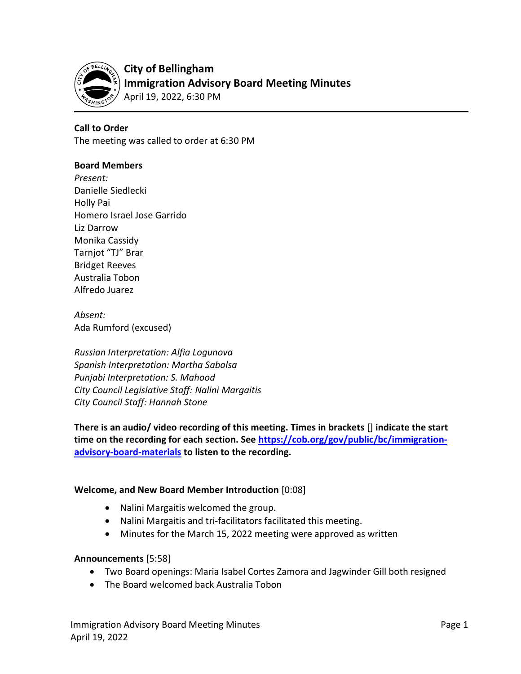

## Call to Order

The meeting was called to order at 6:30 PM

#### Board Members

Present: Danielle Siedlecki Holly Pai Homero Israel Jose Garrido Liz Darrow Monika Cassidy Tarnjot "TJ" Brar Bridget Reeves Australia Tobon Alfredo Juarez

Absent: Ada Rumford (excused)

Russian Interpretation: Alfia Logunova Spanish Interpretation: Martha Sabalsa Punjabi Interpretation: S. Mahood City Council Legislative Staff: Nalini Margaitis City Council Staff: Hannah Stone

There is an audio/ video recording of this meeting. Times in brackets [] indicate the start time on the recording for each section. See https://cob.org/gov/public/bc/immigrationadvisory-board-materials to listen to the recording.

#### Welcome, and New Board Member Introduction [0:08]

- Nalini Margaitis welcomed the group.
- Nalini Margaitis and tri-facilitators facilitated this meeting.
- Minutes for the March 15, 2022 meeting were approved as written

#### Announcements [5:58]

- Two Board openings: Maria Isabel Cortes Zamora and Jagwinder Gill both resigned
- The Board welcomed back Australia Tobon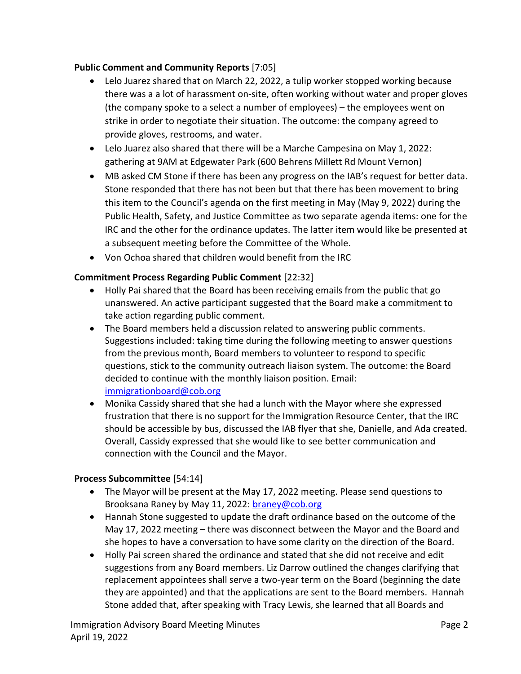## Public Comment and Community Reports [7:05]

- Lelo Juarez shared that on March 22, 2022, a tulip worker stopped working because there was a a lot of harassment on-site, often working without water and proper gloves (the company spoke to a select a number of employees) – the employees went on strike in order to negotiate their situation. The outcome: the company agreed to provide gloves, restrooms, and water.
- Lelo Juarez also shared that there will be a Marche Campesina on May 1, 2022: gathering at 9AM at Edgewater Park (600 Behrens Millett Rd Mount Vernon)
- MB asked CM Stone if there has been any progress on the IAB's request for better data. Stone responded that there has not been but that there has been movement to bring this item to the Council's agenda on the first meeting in May (May 9, 2022) during the Public Health, Safety, and Justice Committee as two separate agenda items: one for the IRC and the other for the ordinance updates. The latter item would like be presented at a subsequent meeting before the Committee of the Whole.
- Von Ochoa shared that children would benefit from the IRC

# Commitment Process Regarding Public Comment [22:32]

- Holly Pai shared that the Board has been receiving emails from the public that go unanswered. An active participant suggested that the Board make a commitment to take action regarding public comment.
- The Board members held a discussion related to answering public comments. Suggestions included: taking time during the following meeting to answer questions from the previous month, Board members to volunteer to respond to specific questions, stick to the community outreach liaison system. The outcome: the Board decided to continue with the monthly liaison position. Email: immigrationboard@cob.org
- Monika Cassidy shared that she had a lunch with the Mayor where she expressed frustration that there is no support for the Immigration Resource Center, that the IRC should be accessible by bus, discussed the IAB flyer that she, Danielle, and Ada created. Overall, Cassidy expressed that she would like to see better communication and connection with the Council and the Mayor.

## Process Subcommittee [54:14]

- The Mayor will be present at the May 17, 2022 meeting. Please send questions to Brooksana Raney by May 11, 2022: braney@cob.org
- Hannah Stone suggested to update the draft ordinance based on the outcome of the May 17, 2022 meeting – there was disconnect between the Mayor and the Board and she hopes to have a conversation to have some clarity on the direction of the Board.
- Holly Pai screen shared the ordinance and stated that she did not receive and edit suggestions from any Board members. Liz Darrow outlined the changes clarifying that replacement appointees shall serve a two-year term on the Board (beginning the date they are appointed) and that the applications are sent to the Board members. Hannah Stone added that, after speaking with Tracy Lewis, she learned that all Boards and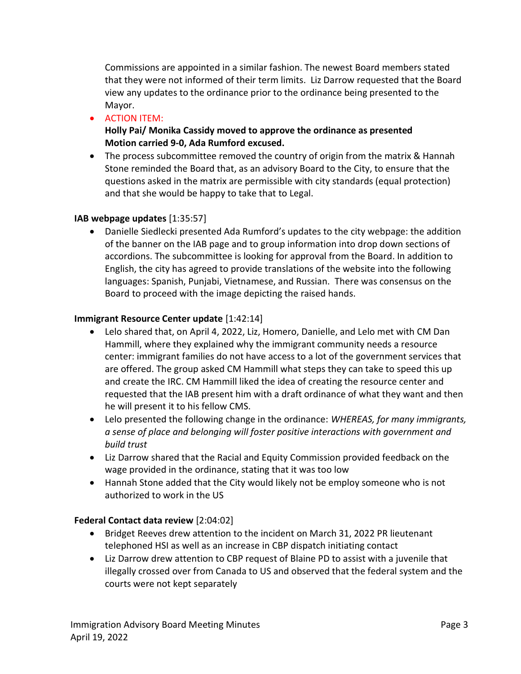Commissions are appointed in a similar fashion. The newest Board members stated that they were not informed of their term limits. Liz Darrow requested that the Board view any updates to the ordinance prior to the ordinance being presented to the Mayor.

**•** ACTION ITEM:

Holly Pai/ Monika Cassidy moved to approve the ordinance as presented Motion carried 9-0, Ada Rumford excused.

 The process subcommittee removed the country of origin from the matrix & Hannah Stone reminded the Board that, as an advisory Board to the City, to ensure that the questions asked in the matrix are permissible with city standards (equal protection) and that she would be happy to take that to Legal.

## IAB webpage updates [1:35:57]

 Danielle Siedlecki presented Ada Rumford's updates to the city webpage: the addition of the banner on the IAB page and to group information into drop down sections of accordions. The subcommittee is looking for approval from the Board. In addition to English, the city has agreed to provide translations of the website into the following languages: Spanish, Punjabi, Vietnamese, and Russian. There was consensus on the Board to proceed with the image depicting the raised hands.

#### Immigrant Resource Center update [1:42:14]

- Lelo shared that, on April 4, 2022, Liz, Homero, Danielle, and Lelo met with CM Dan Hammill, where they explained why the immigrant community needs a resource center: immigrant families do not have access to a lot of the government services that are offered. The group asked CM Hammill what steps they can take to speed this up and create the IRC. CM Hammill liked the idea of creating the resource center and requested that the IAB present him with a draft ordinance of what they want and then he will present it to his fellow CMS.
- Lelo presented the following change in the ordinance: WHEREAS, for many immigrants, a sense of place and belonging will foster positive interactions with government and build trust
- Liz Darrow shared that the Racial and Equity Commission provided feedback on the wage provided in the ordinance, stating that it was too low
- Hannah Stone added that the City would likely not be employ someone who is not authorized to work in the US

#### Federal Contact data review [2:04:02]

- Bridget Reeves drew attention to the incident on March 31, 2022 PR lieutenant telephoned HSI as well as an increase in CBP dispatch initiating contact
- Liz Darrow drew attention to CBP request of Blaine PD to assist with a juvenile that illegally crossed over from Canada to US and observed that the federal system and the courts were not kept separately